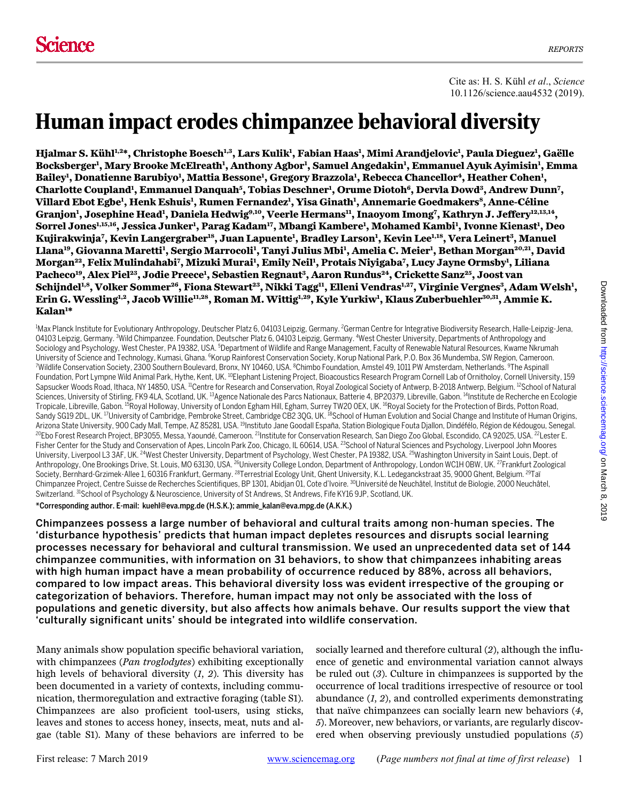Cite as: H. S. Kühl *et al*., *Science* 10.1126/science.aau4532 (2019).

# Human impact erodes chimpanzee behavioral diversity

**Hjalmar S. Kühl1,2\*, Christophe Boesch1,3, Lars Kulik1 , Fabian Haas1 , Mimi Arandjelovic1 , Paula Dieguez1 , Gaëlle Bocksberger1 , Mary Brooke McElreath1 , Anthony Agbor1 , Samuel Angedakin1 , Emmanuel Ayuk Ayimisin1 , Emma**   $\bm{\mathrm{Bailey!}},$  Donatienne Barubiyo<sup>1</sup>, Mattia Bessone<sup>1</sup>, Gregory Brazzola<sup>1</sup>, Rebecca Chancellor<sup>4</sup>, Heather Cohen<sup>1</sup>, Charlotte Coupland<sup>1</sup>, Emmanuel Danquah<sup>5</sup>, Tobias Deschner<sup>1</sup>, Orume Diotoh<sup>6</sup>, Dervla Dowd<sup>3</sup>, Andrew Dunn<sup>7</sup>, **Villard Ebot Egbe1 , Henk Eshuis1 , Rumen Fernandez1 , Yisa Ginath1 , Annemarie Goedmakers8, Anne-Céline Granjon1 , Josephine Head1 , Daniela Hedwig9,10, Veerle Hermans11, Inaoyom Imong7 , Kathryn J. Jeffery12,13,14,**   $\bf{S}$ orrel Jones $^{\rm 1,15,16}$ , Jessica Junker<sup>1</sup>, Parag Kadam<sup>17</sup>, Mbangi Kambere<sup>1</sup>, Mohamed Kambi<sup>1</sup>, Ivonne Kienast<sup>1</sup>, Deo **Kujirakwinja7 , Kevin Langergraber18, Juan Lapuente1 , Bradley Larson1 , Kevin Lee1,18, Vera Leinert3, Manuel**  Llana<sup>19</sup>, Giovanna Maretti<sup>1</sup>, Sergio Marrocoli<sup>1</sup>, Tanyi Julius Mbi<sup>1</sup>, Amelia C. Meier<sup>1</sup>, Bethan Morgan<sup>20,21</sup>, David **Morgan22, Felix Mulindahabi7 , Mizuki Murai1 , Emily Neil1 , Protais Niyigaba7 , Lucy Jayne Ormsby1 , Liliana Pacheco19, Alex Piel23, Jodie Preece1 , Sebastien Regnaut3, Aaron Rundus24, Crickette Sanz25, Joost van**   $S$ chijndel<sup>1,8</sup>, Volker Sommer<sup>26</sup>, Fiona Stewart<sup>23</sup>, Nikki Tagg<sup>11</sup>, Elleni Vendras<sup>1,27</sup>, Virginie Vergnes<sup>3</sup>, Adam Welsh<sup>1</sup>, **Erin G. Wessling1,2, Jacob Willie11,28, Roman M. Wittig1,29, Kyle Yurkiw1 , Klaus Zuberbuehler30,31, Ammie K. Kalan1 \*** 

<sup>1</sup>Max Planck Institute for Evolutionary Anthropology, Deutscher Platz 6, 04103 Leipzig, Germany. <sup>2</sup>German Centre for Integrative Biodiversity Research, Halle-Leipzig-Jena, 04103 Leipzig, Germany. <sup>3</sup>Wild Chimpanzee. Foundation, Deutscher Platz 6, 04103 Leipzig, Germany. <sup>4</sup>West Chester University, Departments of Anthropology and Sociology and Psychology, West Chester, PA 19382, USA. <sup>5</sup>Department of Wildlife and Range Management, Faculty of Renewable Natural Resources, Kwame Nkrumah University of Science and Technology, Kumasi, Ghana. <sup>6</sup>Korup Rainforest Conservation Society, Korup National Park, P.O. Box 36 Mundemba, SW Region, Cameroon.<br>Wildlife Conservation Society, 2300 Southern Boulevard, Bronx, Wildlife Conservation Society, 2300 Southern Boulevard, Bronx, NY 10460, USA. <sup>8</sup>Chimbo Foundation, Amstel 49, 1011 PW Amsterdam, Netherlands. <sup>9</sup>The Aspinall Foundation, Port Lympne Wild Animal Park, Hythe, Kent, UK. <sup>10</sup>Elephant Listening Project, Bioacoustics Research Program Cornell Lab of Ornitholoy, Cornell University, 159 Sapsucker Woods Road, Ithaca, NY 14850, USA. <sup>11</sup>Centre for Research and Conservation, Royal Zoological Society of Antwerp, B-2018 Antwerp, Belgium. <sup>12</sup>School of Natural Sciences, University of Stirling, FK9 4LA, Scotland, UK. <sup>13</sup>Agence Nationale des Parcs Nationaux, Batterie 4, BP20379, Libreville, Gabon. <sup>14</sup>Institute de Recherche en Ecologie Tropicale, Libreville, Gabon. <sup>15</sup>Royal Holloway, University of London Egham Hill, Egham, Surrey TW20 OEX, UK. <sup>16</sup>Royal Society for the Protection of Birds, Potton Road, Sandy SG19 2DL, UK. <sup>17</sup>University of Cambridge, Pembroke Street, Cambridge CB2 3QG, UK. <sup>18</sup>School of Human Evolution and Social Change and Institute of Human Origins,<br>Arizona State University, 900 Cady Mall, Tempe, AZ 85 <sup>20</sup>Ebo Forest Research Project, BP3055, Messa, Yaoundé, Cameroon. <sup>21</sup>Institute for Conservation Research, San Diego Zoo Global, Escondido, CA 92025, USA. <sup>22</sup>Lester E. Fisher Center for the Study and Conservation of Apes, Lincoln Park Zoo, Chicago, IL 60614, USA. <sup>23</sup>School of Natural Sciences and Psychology, Liverpool John Moores University, Liverpool L3 3AF, UK. <sup>24</sup>West Chester University, Department of Psychology, West Chester, PA 19382, USA. <sup>25</sup>Washington University in Saint Louis, Dept. of Anthropology, One Brookings Drive, St. Louis, MO 63130, USA. <sup>26</sup>University College London, Department of Anthropology, London WC1H 0BW, UK. <sup>27</sup>Frankfurt Zoological Society, Bernhard-Grzimek-Allee 1, 60316 Frankfurt, Germany. 28Terrestrial Ecology Unit, Ghent University, K.L. Ledeganckstraat 35, 9000 Ghent, Belgium. 29Taï Chimpanzee Project, Centre Suisse de Recherches Scientifiques, BP 1301, Abidjan 01, Cote d'Ivoire. <sup>30</sup>Université de Neuchâtel, Institut de Biologie, 2000 Neuchâtel, Switzerland. 31School of Psychology & Neuroscience, University of St Andrews, St Andrews, Fife KY16 9JP, Scotland, UK.

\*Corresponding author. E-mail: kuehl@eva.mpg.de (H.S.K.); ammie\_kalan@eva.mpg.de (A.K.K.)

Chimpanzees possess a large number of behavioral and cultural traits among non-human species. The 'disturbance hypothesis' predicts that human impact depletes resources and disrupts social learning processes necessary for behavioral and cultural transmission. We used an unprecedented data set of 144 chimpanzee communities, with information on 31 behaviors, to show that chimpanzees inhabiting areas with high human impact have a mean probability of occurrence reduced by 88%, across all behaviors, compared to low impact areas. This behavioral diversity loss was evident irrespective of the grouping or categorization of behaviors. Therefore, human impact may not only be associated with the loss of populations and genetic diversity, but also affects how animals behave. Our results support the view that 'culturally significant units' should be integrated into wildlife conservation.

Many animals show population specific behavioral variation, with chimpanzees (*Pan troglodytes*) exhibiting exceptionally high levels of behavioral diversity (*1*, *2*). This diversity has been documented in a variety of contexts, including communication, thermoregulation and extractive foraging (table S1). Chimpanzees are also proficient tool-users, using sticks, leaves and stones to access honey, insects, meat, nuts and algae (table S1). Many of these behaviors are inferred to be

socially learned and therefore cultural (*2*), although the influence of genetic and environmental variation cannot always be ruled out (*3*). Culture in chimpanzees is supported by the occurrence of local traditions irrespective of resource or tool abundance (*1*, *2*), and controlled experiments demonstrating that naïve chimpanzees can socially learn new behaviors (*4*, *5*). Moreover, new behaviors, or variants, are regularly discovered when observing previously unstudied populations (*5*)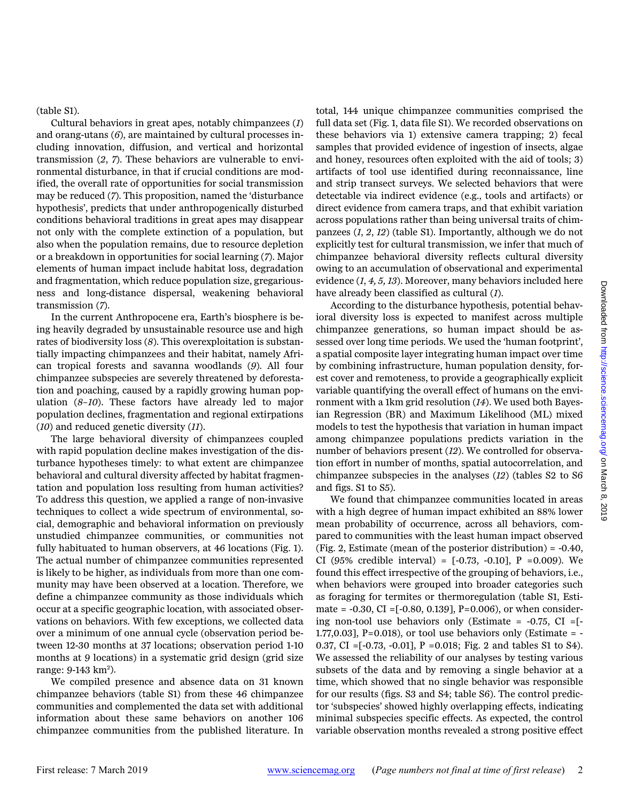(table S1).

Cultural behaviors in great apes, notably chimpanzees (*1*) and orang-utans (*6*), are maintained by cultural processes including innovation, diffusion, and vertical and horizontal transmission (*2*, *7*). These behaviors are vulnerable to environmental disturbance, in that if crucial conditions are modified, the overall rate of opportunities for social transmission may be reduced (*7*). This proposition, named the 'disturbance hypothesis', predicts that under anthropogenically disturbed conditions behavioral traditions in great apes may disappear not only with the complete extinction of a population, but also when the population remains, due to resource depletion or a breakdown in opportunities for social learning (*7*). Major elements of human impact include habitat loss, degradation and fragmentation, which reduce population size, gregariousness and long-distance dispersal, weakening behavioral transmission (*7*).

In the current Anthropocene era, Earth's biosphere is being heavily degraded by unsustainable resource use and high rates of biodiversity loss (*8*). This overexploitation is substantially impacting chimpanzees and their habitat, namely African tropical forests and savanna woodlands (*9*). All four chimpanzee subspecies are severely threatened by deforestation and poaching, caused by a rapidly growing human population (*8*–*10*). These factors have already led to major population declines, fragmentation and regional extirpations (*10*) and reduced genetic diversity (*11*).

The large behavioral diversity of chimpanzees coupled with rapid population decline makes investigation of the disturbance hypotheses timely: to what extent are chimpanzee behavioral and cultural diversity affected by habitat fragmentation and population loss resulting from human activities? To address this question, we applied a range of non-invasive techniques to collect a wide spectrum of environmental, social, demographic and behavioral information on previously unstudied chimpanzee communities, or communities not fully habituated to human observers, at 46 locations (Fig. 1). The actual number of chimpanzee communities represented is likely to be higher, as individuals from more than one community may have been observed at a location. Therefore, we define a chimpanzee community as those individuals which occur at a specific geographic location, with associated observations on behaviors. With few exceptions, we collected data over a minimum of one annual cycle (observation period between 12-30 months at 37 locations; observation period 1-10 months at 9 locations) in a systematic grid design (grid size range: 9-143 km<sup>2</sup>).

We compiled presence and absence data on 31 known chimpanzee behaviors (table S1) from these 46 chimpanzee communities and complemented the data set with additional information about these same behaviors on another 106 chimpanzee communities from the published literature. In

total, 144 unique chimpanzee communities comprised the full data set (Fig. 1, data file S1). We recorded observations on these behaviors via 1) extensive camera trapping; 2) fecal samples that provided evidence of ingestion of insects, algae and honey, resources often exploited with the aid of tools; 3) artifacts of tool use identified during reconnaissance, line and strip transect surveys. We selected behaviors that were detectable via indirect evidence (e.g., tools and artifacts) or direct evidence from camera traps, and that exhibit variation across populations rather than being universal traits of chimpanzees (*1*, *2*, *12*) (table S1). Importantly, although we do not explicitly test for cultural transmission, we infer that much of chimpanzee behavioral diversity reflects cultural diversity owing to an accumulation of observational and experimental evidence (*1*, *4, 5, 13*). Moreover, many behaviors included here have already been classified as cultural (*1*).

According to the disturbance hypothesis, potential behavioral diversity loss is expected to manifest across multiple chimpanzee generations, so human impact should be assessed over long time periods. We used the 'human footprint', a spatial composite layer integrating human impact over time by combining infrastructure, human population density, forest cover and remoteness, to provide a geographically explicit variable quantifying the overall effect of humans on the environment with a 1km grid resolution (*14*). We used both Bayesian Regression (BR) and Maximum Likelihood (ML) mixed models to test the hypothesis that variation in human impact among chimpanzee populations predicts variation in the number of behaviors present (*12*). We controlled for observation effort in number of months, spatial autocorrelation, and chimpanzee subspecies in the analyses (*12*) (tables S2 to S6 and figs. S1 to S5).

We found that chimpanzee communities located in areas with a high degree of human impact exhibited an 88% lower mean probability of occurrence, across all behaviors, compared to communities with the least human impact observed (Fig. 2, Estimate (mean of the posterior distribution) = -0.40, CI (95% credible interval) =  $[-0.73, -0.10]$ , P = 0.009). We found this effect irrespective of the grouping of behaviors, i.e., when behaviors were grouped into broader categories such as foraging for termites or thermoregulation (table S1, Estimate =  $-0.30$ , CI =  $[-0.80, 0.139]$ , P=0.006), or when considering non-tool use behaviors only (Estimate =  $-0.75$ , CI =[ $-$ 1.77,0.03],  $P=0.018$ ), or tool use behaviors only (Estimate = -0.37, CI =[-0.73, -0.01], P =0.018; Fig. 2 and tables S1 to S4). We assessed the reliability of our analyses by testing various subsets of the data and by removing a single behavior at a time, which showed that no single behavior was responsible for our results (figs. S3 and S4; table S6). The control predictor 'subspecies' showed highly overlapping effects, indicating minimal subspecies specific effects. As expected, the control variable observation months revealed a strong positive effect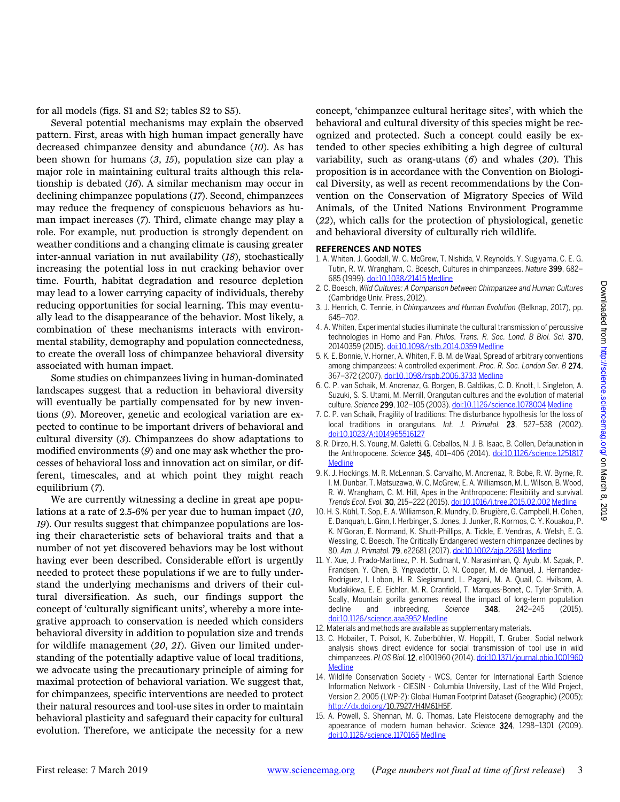for all models (figs. S1 and S2; tables S2 to S5).

Several potential mechanisms may explain the observed pattern. First, areas with high human impact generally have decreased chimpanzee density and abundance (*10*). As has been shown for humans (*3*, *15*), population size can play a major role in maintaining cultural traits although this relationship is debated (*16*). A similar mechanism may occur in declining chimpanzee populations (*17*). Second, chimpanzees may reduce the frequency of conspicuous behaviors as human impact increases (*7*). Third, climate change may play a role. For example, nut production is strongly dependent on weather conditions and a changing climate is causing greater inter-annual variation in nut availability (*18*), stochastically increasing the potential loss in nut cracking behavior over time. Fourth, habitat degradation and resource depletion may lead to a lower carrying capacity of individuals, thereby reducing opportunities for social learning. This may eventually lead to the disappearance of the behavior. Most likely, a combination of these mechanisms interacts with environmental stability, demography and population connectedness, to create the overall loss of chimpanzee behavioral diversity associated with human impact.

Some studies on chimpanzees living in human-dominated landscapes suggest that a reduction in behavioral diversity will eventually be partially compensated for by new inventions (*9*). Moreover, genetic and ecological variation are expected to continue to be important drivers of behavioral and cultural diversity (*3*). Chimpanzees do show adaptations to modified environments (*9*) and one may ask whether the processes of behavioral loss and innovation act on similar, or different, timescales, and at which point they might reach equilibrium (*7*).

We are currently witnessing a decline in great ape populations at a rate of 2.5-6% per year due to human impact (*10*, *19*). Our results suggest that chimpanzee populations are losing their characteristic sets of behavioral traits and that a number of not yet discovered behaviors may be lost without having ever been described. Considerable effort is urgently needed to protect these populations if we are to fully understand the underlying mechanisms and drivers of their cultural diversification. As such, our findings support the concept of 'culturally significant units', whereby a more integrative approach to conservation is needed which considers behavioral diversity in addition to population size and trends for wildlife management (*20*, *21*). Given our limited understanding of the potentially adaptive value of local traditions, we advocate using the precautionary principle of aiming for maximal protection of behavioral variation. We suggest that, for chimpanzees, specific interventions are needed to protect their natural resources and tool-use sites in order to maintain behavioral plasticity and safeguard their capacity for cultural evolution. Therefore, we anticipate the necessity for a new concept, 'chimpanzee cultural heritage sites', with which the behavioral and cultural diversity of this species might be recognized and protected. Such a concept could easily be extended to other species exhibiting a high degree of cultural variability, such as orang-utans (*6*) and whales (*20*). This proposition is in accordance with the Convention on Biological Diversity, as well as recent recommendations by the Convention on the Conservation of Migratory Species of Wild Animals, of the United Nations Environment Programme (*22*), which calls for the protection of physiological, genetic and behavioral diversity of culturally rich wildlife.

# **REFERENCES AND NOTES**

- 1. A. Whiten, J. Goodall, W. C. McGrew, T. Nishida, V. Reynolds, Y. Sugiyama, C. E. G. Tutin, R. W. Wrangham, C. Boesch, Cultures in chimpanzees. *Nature* 399, 682– 685 (1999)[. doi:10.1038/21415](http://dx.doi.org/10.1038/21415) [Medline](http://www.ncbi.nlm.nih.gov/entrez/query.fcgi?cmd=Retrieve&db=PubMed&list_uids=10385119&dopt=Abstract)
- 2. C. Boesch, *Wild Cultures: A Comparison between Chimpanzee and Human Cultures* (Cambridge Univ. Press, 2012).
- 3. J. Henrich, C. Tennie, in *Chimpanzees and Human Evolution* (Belknap, 2017), pp. 645–702.
- 4. A. Whiten, Experimental studies illuminate the cultural transmission of percussive technologies in Homo and Pan. *Philos. Trans. R. Soc. Lond. B Biol. Sci.* 370, 20140359 (2015)[. doi:10.1098/rstb.2014.0359](http://dx.doi.org/10.1098/rstb.2014.0359) [Medline](http://www.ncbi.nlm.nih.gov/entrez/query.fcgi?cmd=Retrieve&db=PubMed&list_uids=26483537&dopt=Abstract)
- 5. K. E. Bonnie, V. Horner, A. Whiten, F. B. M. de Waal, Spread of arbitrary conventions among chimpanzees: A controlled experiment. *Proc. R. Soc. London Ser. B* 274, 367–372 (2007)[. doi:10.1098/rspb.2006.3733](http://dx.doi.org/10.1098/rspb.2006.3733) [Medline](http://www.ncbi.nlm.nih.gov/entrez/query.fcgi?cmd=Retrieve&db=PubMed&list_uids=17164200&dopt=Abstract)
- 6. C. P. van Schaik, M. Ancrenaz, G. Borgen, B. Galdikas, C. D. Knott, I. Singleton, A. Suzuki, S. S. Utami, M. Merrill, Orangutan cultures and the evolution of material culture. *Science* 299, 102–105 (2003)[. doi:10.1126/science.1078004](http://dx.doi.org/10.1126/science.1078004) [Medline](http://www.ncbi.nlm.nih.gov/entrez/query.fcgi?cmd=Retrieve&db=PubMed&list_uids=12511649&dopt=Abstract)
- 7. C. P. van Schaik, Fragility of traditions: The disturbance hypothesis for the loss of local traditions in orangutans. *Int. J. Primatol.* 23, 527–538 (2002). [doi:10.1023/A:1014965516127](http://dx.doi.org/10.1023/A:1014965516127)
- 8. R. Dirzo, H. S. Young, M. Galetti, G. Ceballos, N. J. B. Isaac, B. Collen, Defaunation in the Anthropocene. *Science* 345, 401–406 (2014). [doi:10.1126/science.1251817](http://dx.doi.org/10.1126/science.1251817) **[Medline](http://www.ncbi.nlm.nih.gov/entrez/query.fcgi?cmd=Retrieve&db=PubMed&list_uids=25061202&dopt=Abstract)**
- 9. K. J. Hockings, M. R. McLennan, S. Carvalho, M. Ancrenaz, R. Bobe, R. W. Byrne, R. I. M. Dunbar, T. Matsuzawa, W. C. McGrew, E. A. Williamson, M. L. Wilson, B. Wood, R. W. Wrangham, C. M. Hill, Apes in the Anthropocene: Flexibility and survival. *Trends Ecol. Evol.* 30, 215–222 (2015)[. doi:10.1016/j.tree.2015.02.002](http://dx.doi.org/10.1016/j.tree.2015.02.002) [Medline](http://www.ncbi.nlm.nih.gov/entrez/query.fcgi?cmd=Retrieve&db=PubMed&list_uids=25766059&dopt=Abstract)
- 10. H. S. Kühl, T. Sop, E. A. Williamson, R. Mundry, D. Brugière, G. Campbell, H. Cohen, E. Danquah, L. Ginn, I. Herbinger, S. Jones, J. Junker, R. Kormos, C. Y. Kouakou, P. K. N'Goran, E. Normand, K. Shutt-Phillips, A. Tickle, E. Vendras, A. Welsh, E. G. Wessling, C. Boesch, The Critically Endangered western chimpanzee declines by 80. *Am. J. Primatol.* 79, e22681 (2017)[. doi:10.1002/ajp.22681](http://dx.doi.org/10.1002/ajp.22681) [Medline](http://www.ncbi.nlm.nih.gov/entrez/query.fcgi?cmd=Retrieve&db=PubMed&list_uids=28671715&dopt=Abstract)
- 11. Y. Xue, J. Prado-Martinez, P. H. Sudmant, V. Narasimhan, Q. Ayub, M. Szpak, P. Frandsen, Y. Chen, B. Yngvadottir, D. N. Cooper, M. de Manuel, J. Hernandez-Rodriguez, I. Lobon, H. R. Siegismund, L. Pagani, M. A. Quail, C. Hvilsom, A. Mudakikwa, E. E. Eichler, M. R. Cranfield, T. Marques-Bonet, C. Tyler-Smith, A. Scally, Mountain gorilla genomes reveal the impact of long-term population decline and inbreeding. *Science* 348, 242–245 (2015). [doi:10.1126/science.aaa3952](http://dx.doi.org/10.1126/science.aaa3952) [Medline](http://www.ncbi.nlm.nih.gov/entrez/query.fcgi?cmd=Retrieve&db=PubMed&list_uids=25859046&dopt=Abstract)
- 12. Materials and methods are available as supplementary materials.
- 13. C. Hobaiter, T. Poisot, K. Zuberbühler, W. Hoppitt, T. Gruber, Social network analysis shows direct evidence for social transmission of tool use in wild chimpanzees. *PLOS Biol.*12, e1001960 (2014)[. doi:10.1371/journal.pbio.1001960](http://dx.doi.org/10.1371/journal.pbio.1001960) [Medline](http://www.ncbi.nlm.nih.gov/entrez/query.fcgi?cmd=Retrieve&db=PubMed&list_uids=25268798&dopt=Abstract)
- 14. Wildlife Conservation Society WCS, Center for International Earth Science Information Network - CIESIN - Columbia University, Last of the Wild Project, Version 2, 2005 (LWP-2): Global Human Footprint Dataset (Geographic) (2005); [http://dx.doi.org/1](http://dx.doi.org/)0.7927/H4M61H5F.
- 15. A. Powell, S. Shennan, M. G. Thomas, Late Pleistocene demography and the appearance of modern human behavior. *Science* 324, 1298–1301 (2009). [doi:10.1126/science.1170165](http://dx.doi.org/10.1126/science.1170165) [Medline](http://www.ncbi.nlm.nih.gov/entrez/query.fcgi?cmd=Retrieve&db=PubMed&list_uids=19498164&dopt=Abstract)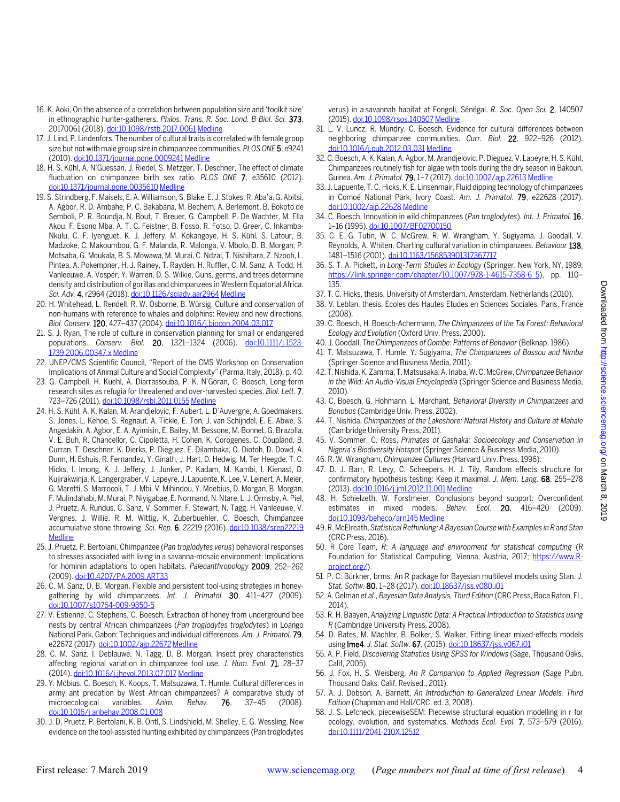- 16. K. Aoki, On the absence of a correlation between population size and 'toolkit size' in ethnographic hunter-gatherers. *Philos. Trans. R. Soc. Lond. B Biol. Sci.* 373, 20170061 (2018)[. doi:10.1098/rstb.2017.0061](http://dx.doi.org/10.1098/rstb.2017.0061) [Medline](http://www.ncbi.nlm.nih.gov/entrez/query.fcgi?cmd=Retrieve&db=PubMed&list_uids=29440526&dopt=Abstract)
- 17. J. Lind, P. Lindenfors, The number of cultural traits is correlated with female group size but not with male group size in chimpanzee communities. *PLOS ONE* 5, e9241 (2010)[. doi:10.1371/journal.pone.0009241](http://dx.doi.org/10.1371/journal.pone.0009241) [Medline](http://www.ncbi.nlm.nih.gov/entrez/query.fcgi?cmd=Retrieve&db=PubMed&list_uids=20352086&dopt=Abstract)
- 18. H. S. Kühl, A. N'Guessan, J. Riedel, S. Metzger, T. Deschner, The effect of climate fluctuation on chimpanzee birth sex ratio. *PLOS ONE* 7, e35610 (2012). [doi:10.1371/journal.pone.0035610](http://dx.doi.org/10.1371/journal.pone.0035610) [Medline](http://www.ncbi.nlm.nih.gov/entrez/query.fcgi?cmd=Retrieve&db=PubMed&list_uids=22563387&dopt=Abstract)
- 19. S. Strindberg, F. Maisels, E. A. Williamson, S. Blake, E. J. Stokes, R. Aba'a, G. Abitsi, A. Agbor, R. D. Ambahe, P. C. Bakabana, M. Bechem, A. Berlemont, B. Bokoto de Semboli, P. R. Boundja, N. Bout, T. Breuer, G. Campbell, P. De Wachter, M. Ella Akou, F. Esono Mba, A. T. C. Feistner, B. Fosso, R. Fotso, D. Greer, C. Inkamba-Nkulu, C. F. Iyenguet, K. J. Jeffery, M. Kokangoye, H. S. Kühl, S. Latour, B. Madzoke, C. Makoumbou, G. F. Malanda, R. Malonga, V. Mbolo, D. B. Morgan, P. Motsaba, G. Moukala, B. S. Mowawa, M. Murai, C. Ndzai, T. Nishihara, Z. Nzooh, L. Pintea, A. Pokempner, H. J. Rainey, T. Rayden, H. Ruffler, C. M. Sanz, A. Todd, H. Vanleeuwe, A. Vosper, Y. Warren, D. S. Wilkie, Guns, germs, and trees determine density and distribution of gorillas and chimpanzees in Western Equatorial Africa. *Sci. Adv.* 4, r2964 (2018)[. doi:10.1126/sciadv.aar2964](http://dx.doi.org/10.1126/sciadv.aar2964) [Medline](http://www.ncbi.nlm.nih.gov/entrez/query.fcgi?cmd=Retrieve&db=PubMed&list_uids=29707637&dopt=Abstract)
- 20. H. Whitehead, L. Rendell, R. W. Osborne, B. Würsig, Culture and conservation of non-humans with reference to whales and dolphins: Review and new directions. *Biol. Conserv.*120, 427–437 (2004)[. doi:10.1016/j.biocon.2004.03.017](http://dx.doi.org/10.1016/j.biocon.2004.03.017)
- 21. S. J. Ryan, The role of culture in conservation planning for small or endangered populations. *Conserv. Biol.* 20, 1321–1324 (2006). [doi:10.1111/j.1523-](http://dx.doi.org/10.1111/j.1523-1739.2006.00347.x) [1739.2006.00347.x](http://dx.doi.org/10.1111/j.1523-1739.2006.00347.x) [Medline](http://www.ncbi.nlm.nih.gov/entrez/query.fcgi?cmd=Retrieve&db=PubMed&list_uids=16922250&dopt=Abstract)
- 22. UNEP/CMS Scientific Council, "Report of the CMS Workshop on Conservation Implications of Animal Culture and Social Complexity" (Parma, Italy, 2018), p. 40.
- 23. G. Campbell, H. Kuehl, A. Diarrassouba, P. K. N'Goran, C. Boesch, Long-term research sites as refugia for threatened and over-harvested species. *Biol. Lett.* 7, 723–726 (2011)[. doi:10.1098/rsbl.2011.0155](http://dx.doi.org/10.1098/rsbl.2011.0155) [Medline](http://www.ncbi.nlm.nih.gov/entrez/query.fcgi?cmd=Retrieve&db=PubMed&list_uids=21450724&dopt=Abstract)
- 24. H. S. Kühl, A. K. Kalan, M. Arandjelovic, F. Aubert, L. D'Auvergne, A. Goedmakers, S. Jones, L. Kehoe, S. Regnaut, A. Tickle, E. Ton, J. van Schijndel, E. E. Abwe, S. Angedakin, A. Agbor, E. A. Ayimisin, E. Bailey, M. Bessone, M. Bonnet, G. Brazolla, V. E. Buh, R. Chancellor, C. Cipoletta, H. Cohen, K. Corogenes, C. Coupland, B. Curran, T. Deschner, K. Dierks, P. Dieguez, E. Dilambaka, O. Diotoh, D. Dowd, A. Dunn, H. Eshuis, R. Fernandez, Y. Ginath, J. Hart, D. Hedwig, M. Ter Heegde, T. C. Hicks, I. Imong, K. J. Jeffery, J. Junker, P. Kadam, M. Kambi, I. Kienast, D. Kujirakwinja, K. Langergraber, V. Lapeyre, J. Lapuente, K. Lee, V. Leinert, A. Meier, G. Maretti, S. Marrocoli, T. J. Mbi, V. Mihindou, Y. Moebius, D. Morgan, B. Morgan, F. Mulindahabi, M. Murai, P. Niyigabae, E. Normand, N. Ntare, L. J. Ormsby, A. Piel, J. Pruetz, A. Rundus, C. Sanz, V. Sommer, F. Stewart, N. Tagg, H. Vanleeuwe, V. Vergnes, J. Willie, R. M. Wittig, K. Zuberbuehler, C. Boesch, Chimpanzee accumulative stone throwing. *Sci. Rep.* 6, 22219 (2016)[. doi:10.1038/srep22219](http://dx.doi.org/10.1038/srep22219) [Medline](http://www.ncbi.nlm.nih.gov/entrez/query.fcgi?cmd=Retrieve&db=PubMed&list_uids=26923684&dopt=Abstract)
- 25. J. Pruetz, P. Bertolani, Chimpanzee (*Pan troglodytes verus*) behavioral responses to stresses associated with living in a savanna-mosaic environment: Implications for hominin adaptations to open habitats. *Paleoanthropology* 2009, 252–262 (2009)[. doi:10.4207/PA.2009.ART33](http://dx.doi.org/10.4207/PA.2009.ART33)
- 26. C. M. Sanz, D. B. Morgan, Flexible and persistent tool-using strategies in honeygathering by wild chimpanzees. *Int. J. Primatol.* 30, 411–427 (2009). [doi:10.1007/s10764-009-9350-5](http://dx.doi.org/10.1007/s10764-009-9350-5)
- 27. V. Estienne, C. Stephens, C. Boesch, Extraction of honey from underground bee nests by central African chimpanzees (*Pan troglodytes troglodytes*) in Loango National Park, Gabon: Techniques and individual differences. *Am. J. Primatol.* 79, e22672 (2017)[. doi:10.1002/ajp.22672](http://dx.doi.org/10.1002/ajp.22672) [Medline](http://www.ncbi.nlm.nih.gov/entrez/query.fcgi?cmd=Retrieve&db=PubMed&list_uids=28464365&dopt=Abstract)
- 28. C. M. Sanz, I. Deblauwe, N. Tagg, D. B. Morgan, Insect prey characteristics affecting regional variation in chimpanzee tool use. *J. Hum. Evol.* 71, 28–37 (2014)[. doi:10.1016/j.jhevol.2013.07.017](http://dx.doi.org/10.1016/j.jhevol.2013.07.017) [Medline](http://www.ncbi.nlm.nih.gov/entrez/query.fcgi?cmd=Retrieve&db=PubMed&list_uids=24602365&dopt=Abstract)
- 29. Y. Möbius, C. Boesch, K. Koops, T. Matsuzawa, T. Humle, Cultural differences in army ant predation by West African chimpanzees? A comparative study of microecological variables. *Anim. Behav.* 76, 37–45 (2008). [doi:10.1016/j.anbehav.2008.01.008](http://dx.doi.org/10.1016/j.anbehav.2008.01.008)
- 30. J. D. Pruetz, P. Bertolani, K. B. Ontl, S. Lindshield, M. Shelley, E. G. Wessling, New evidence on the tool-assisted hunting exhibited by chimpanzees (Pan troglodytes

verus) in a savannah habitat at Fongoli, Sénégal. *R. Soc. Open Sci.* 2, 140507 (2015)[. doi:10.1098/rsos.140507](http://dx.doi.org/10.1098/rsos.140507) [Medline](http://www.ncbi.nlm.nih.gov/entrez/query.fcgi?cmd=Retrieve&db=PubMed&list_uids=26064638&dopt=Abstract)

- 31. L. V. Luncz, R. Mundry, C. Boesch, Evidence for cultural differences between neighboring chimpanzee communities. *Curr. Biol.* 22, 922–926 (2012). [doi:10.1016/j.cub.2012.03.031](http://dx.doi.org/10.1016/j.cub.2012.03.031) [Medline](http://www.ncbi.nlm.nih.gov/entrez/query.fcgi?cmd=Retrieve&db=PubMed&list_uids=22578420&dopt=Abstract)
- 32. C. Boesch, A. K. Kalan, A. Agbor, M. Arandjelovic, P. Dieguez, V. Lapeyre, H. S. Kühl, Chimpanzees routinely fish for algae with tools during the dry season in Bakoun, Guinea. *Am. J. Primatol.* 79, 1–7 (2017)[. doi:10.1002/ajp.22613](http://dx.doi.org/10.1002/ajp.22613) [Medline](http://www.ncbi.nlm.nih.gov/entrez/query.fcgi?cmd=Retrieve&db=PubMed&list_uids=27813136&dopt=Abstract)
- 33. J. Lapuente, T. C. Hicks, K. E. Linsenmair, Fluid dipping technology of chimpanzees in Comoé National Park, Ivory Coast. *Am. J. Primatol.* 79, e22628 (2017). [doi:10.1002/ajp.22628](http://dx.doi.org/10.1002/ajp.22628) [Medline](http://www.ncbi.nlm.nih.gov/entrez/query.fcgi?cmd=Retrieve&db=PubMed&list_uids=28002878&dopt=Abstract)
- 34. C. Boesch, Innovation in wild chimpanzees (*Pan troglodytes*). *Int. J. Primatol.* 16, 1–16 (1995)[. doi:10.1007/BF02700150](http://dx.doi.org/10.1007/BF02700150)
- 35. C. E. G. Tutin, W. C. McGrew, R. W. Wrangham, Y. Sugiyama, J. Goodall, V. Reynolds, A. Whiten, Charting cultural variation in chimpanzees. *Behaviour* 138, 1481–1516 (2001)[. doi:10.1163/156853901317367717](http://dx.doi.org/10.1163/156853901317367717)
- 36. S. T. A. Pickett, in *Long-Term Studies in Ecology* (Springer, New York, NY, 1989; [https://link.springer.com/chapter/10.1007/978-1-4615-7358-6\\_5\)](https://link.springer.com/chapter/10.1007/978-1-4615-7358-6_5), pp. 110-135.
- 37. T. C. Hicks, thesis, University of Amsterdam, Amsterdam, Netherlands (2010).
- 38. V. Leblan, thesis, Ecoles des Hautes Etudes en Sciences Sociales, Paris, France (2008).
- 39. C. Boesch, H. Boesch-Achermann, *The Chimpanzees of the Taï Forest: Behavioral Ecology and Evolution* (Oxford Univ. Press, 2000).
- 40. J. Goodall, *The Chimpanzees of Gombe: Patterns of Behavior* (Belknap, 1986).
- 41. T. Matsuzawa, T. Humle, Y. Sugiyama, *The Chimpanzees of Bossou and Nimba* (Springer Science and Business Media, 2011).
- 42. T. Nishida, K. Zamma, T. Matsusaka, A. Inaba, W. C. McGrew, *Chimpanzee Behavior in the Wild: An Audio-Visual Encyclopedia* (Springer Science and Business Media, 2010).
- 43. C. Boesch, G. Hohmann, L. Marchant, *Behavioral Diversity in Chimpanzees and Bonobos* (Cambridge Univ, Press, 2002).
- 44. T. Nishida, *Chimpanzees of the Lakeshore: Natural History and Culture at Mahale* (Cambridge University Press, 2011).
- 45. V. Sommer, C. Ross, *Primates of Gashaka: Socioecology and Conservation in Nigeria's Biodiversity Hotspot* (Springer Science & Business Media, 2010).
- 46. R. W. Wrangham, *Chimpanzee Cultures* (Harvard Univ. Press, 1996).
- 47. D. J. Barr, R. Levy, C. Scheepers, H. J. Tily, Random effects structure for confirmatory hypothesis testing: Keep it maximal. *J. Mem. Lang.* 68, 255–278 (2013)[. doi:10.1016/j.jml.2012.11.001](http://dx.doi.org/10.1016/j.jml.2012.11.001) [Medline](http://www.ncbi.nlm.nih.gov/entrez/query.fcgi?cmd=Retrieve&db=PubMed&list_uids=24403724&dopt=Abstract)
- 48. H. Schielzeth, W. Forstmeier, Conclusions beyond support: Overconfident estimates in mixed models. *Behav. Ecol.* 20, 416–420 (2009). [doi:10.1093/beheco/arn145](http://dx.doi.org/10.1093/beheco/arn145) [Medline](http://www.ncbi.nlm.nih.gov/entrez/query.fcgi?cmd=Retrieve&db=PubMed&list_uids=19461866&dopt=Abstract)
- 49. R. McElreath, *Statistical Rethinking: A Bayesian Course with Examples in R and Stan* (CRC Press, 2016).
- 50. R Core Team, *R: A language and environment for statistical computing* (R Foundation for Statistical Computing, Vienna, Austria, 2017; [https://www.R](https://www.r-project.org/)[project.org/\)](https://www.r-project.org/).
- 51. P. C. Bürkner, brms: An R package for Bayesian multilevel models using Stan. *J. Stat. Softw.* 80, 1–28 (2017)[. doi:10.18637/jss.v080.i01](http://dx.doi.org/10.18637/jss.v080.i01)
- 52. A. Gelman *et al*., *Bayesian Data Analysis, Third Edition* (CRC Press, Boca Raton, FL, 2014).
- 53. R. H. Baayen, *Analyzing Linguistic Data: A Practical Introduction to Statistics using R* (Cambridge University Press, 2008).
- 54. D. Bates, M. Mächler, B. Bolker, S. Walker, Fitting linear mixed-effects models using lme4. *J. Stat. Softw.* 67, (2015)[. doi:10.18637/jss.v067.i01](http://dx.doi.org/10.18637/jss.v067.i01)
- 55. A. P. Field, *Discovering Statistics Using SPSS for Windows* (Sage, Thousand Oaks, Calif, 2005).
- 56. J. Fox, H. S. Weisberg, *An R Companion to Applied Regression* (Sage Pubn, Thousand Oaks, Calif, Revised., 2011).
- 57. A. J. Dobson, A. Barnett, *An Introduction to Generalized Linear Models, Third Edition* (Chapman and Hall/CRC, ed. 3, 2008).
- 58. J. S. Lefcheck, piecewiseSEM: Piecewise structural equation modelling in r for ecology, evolution, and systematics. *Methods Ecol. Evol.* 7, 573–579 (2016). [doi:10.1111/2041-210X.12512](http://dx.doi.org/10.1111/2041-210X.12512)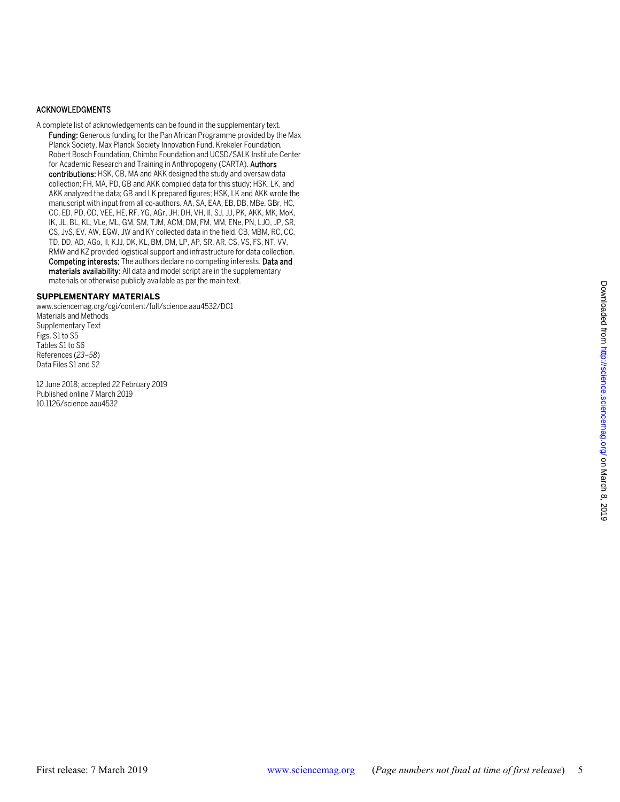## ACKNOWLEDGMENTS

A complete list of acknowledgements can be found in the supplementary text. Funding: Generous funding for the Pan African Programme provided by the Max Planck Society, Max Planck Society Innovation Fund, Krekeler Foundation, Robert Bosch Foundation, Chimbo Foundation and UCSD/SALK Institute Center for Academic Research and Training in Anthropogeny (CARTA). Authors contributions: HSK, CB, MA and AKK designed the study and oversaw data collection; FH, MA, PD, GB and AKK compiled data for this study; HSK, LK, and AKK analyzed the data; GB and LK prepared figures; HSK, LK and AKK wrote the manuscript with input from all co-authors. AA, SA, EAA, EB, DB, MBe, GBr, HC, CC, ED, PD, OD, VEE, HE, RF, YG, AGr, JH, DH, VH, II, SJ, JJ, PK, AKK, MK, MoK, IK, JL, BL, KL, VLe, ML, GM, SM, TJM, ACM, DM, FM, MM, ENe, PN, LJO, JP, SR, CS, JvS, EV, AW, EGW, JW and KY collected data in the field. CB, MBM, RC, CC, TD, DD, AD, AGo, II, KJJ, DK, KL, BM, DM, LP, AP, SR, AR, CS, VS, FS, NT, VV, RMW and KZ provided logistical support and infrastructure for data collection. Competing interests: The authors declare no competing interests. Data and materials availability: All data and model script are in the supplementary materials or otherwise publicly available as per the main text.

#### **SUPPLEMENTARY MATERIALS**

www.sciencemag.org/cgi/content/full/science.aau4532/DC1 Materials and Methods Supplementary Text Figs. S1 to S5 Tables S1 to S6 References (*23–58*) Data Files S1 and S2

12 June 2018; accepted 22 February 2019 Published online 7 March 2019 10.1126/science.aau4532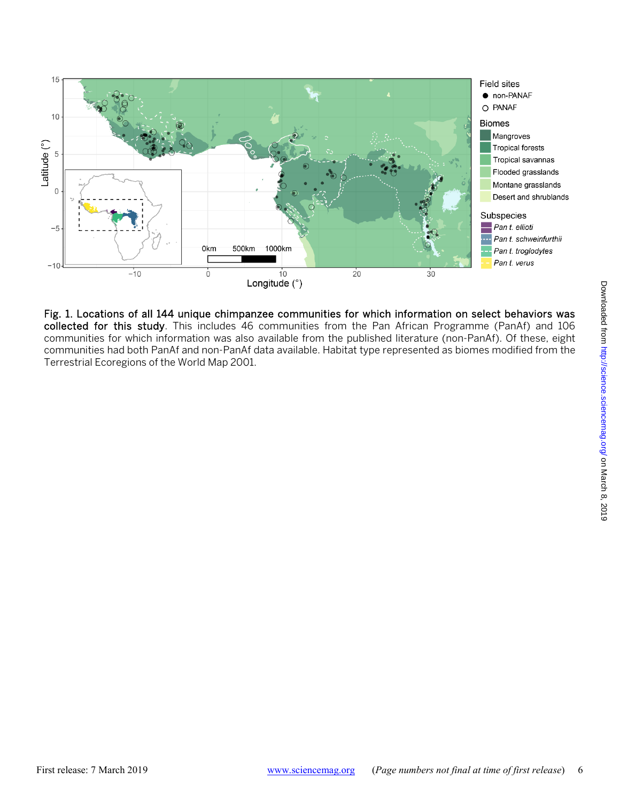

Fig. 1. Locations of all 144 unique chimpanzee communities for which information on select behaviors was collected for this study. This includes 46 communities from the Pan African Programme (PanAf) and 106 communities for which information was also available from the published literature (non-PanAf). Of these, eight communities had both PanAf and non-PanAf data available. Habitat type represented as biomes modified from the Terrestrial Ecoregions of the World Map 2001.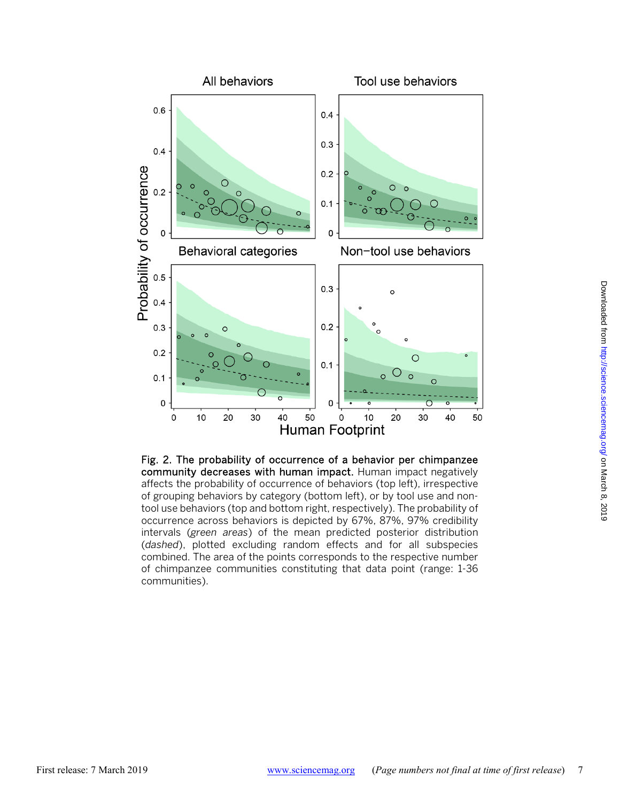

Fig. 2. The probability of occurrence of a behavior per chimpanzee community decreases with human impact. Human impact negatively affects the probability of occurrence of behaviors (top left), irrespective of grouping behaviors by category (bottom left), or by tool use and nontool use behaviors (top and bottom right, respectively). The probability of occurrence across behaviors is depicted by 67%, 87%, 97% credibility intervals (*green areas*) of the mean predicted posterior distribution (*dashed*), plotted excluding random effects and for all subspecies combined. The area of the points corresponds to the respective number of chimpanzee communities constituting that data point (range: 1-36 communities).